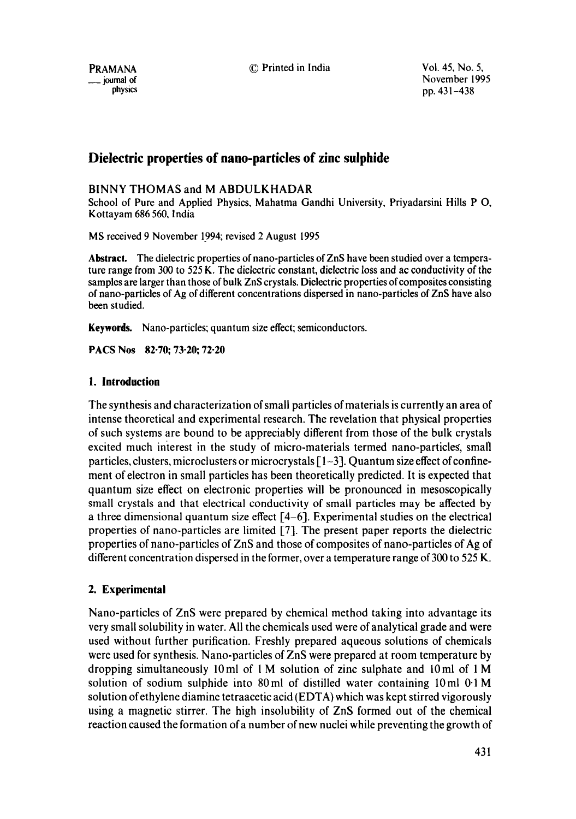PRAMANA © Printed in India Vol. 45, No. 5,  $\mu$  mal of November 1995<br>  $\mu$ yournal of November 1995<br>  $\mu$ ,  $\mu$ ,  $\mu$ ,  $\mu$ ,  $\mu$ ,  $\mu$ ,  $\mu$ ,  $\mu$ ,  $\mu$ ,  $\mu$ ,  $\mu$ ,  $\mu$ ,  $\mu$ ,  $\mu$ ,  $\mu$ ,  $\mu$ ,  $\mu$ ,  $\mu$ ,  $\mu$ ,  $\mu$ ,  $\mu$ ,  $\mu$ ,  $\mu$ ,  $\mu$ ,  $\mu$ ,  $\mu$ ,  $\mu$ ,  $\$ pp.  $431 - 438$ 

# **Dielectric properties of nano-particles of zinc sulphide**

## BINNY THOMAS and M ABDULKHADAR

School of Pure and Applied Physics, Mahatma Gandhi University, Priyadarsini Hills P O, Kottayam 686 560, India

MS received 9 November 1994; revised 2 August 1995

**Abstract.** The dielectric properties of nano-particles of ZnS have been studied over a temperature range from 300 to 525 K. The dielectric constant, dielectric loss and ac conductivity of the samples are larger than those of bulk ZnS crystals. Dielectric properties of composites consisting of nano-particles of Ag of different concentrations dispersed in nano-particles of ZnS have also been studied.

**Keywords.** Nano-particles; quantum size effect; semiconductors.

**PACS Nos 82.70; 73.20; 72-20** 

### **1. Introduction**

The synthesis and characterization of small particles of materials is currently an area of intense theoretical and experimental research. The revelation that physical properties of such systems are bound to be appreciably different from those of the bulk crystals excited much interest in the study of micro-materials termed nano-particleg, small particles, clusters, microclusters or microcrystals  $\lceil 1-3 \rceil$ . Quantum size effect of confinement of electron in small particles has been theoretically predicted. It is expected that quantum size effect on electronic properties will be pronounced in mesoscopically small crystals and that electrical conductivity of small particles may be affected by a three dimensional quantum size effect  $[4-6]$ . Experimental studies on the electrical properties of nano-particles are limited [7]. The present paper reports the dielectric properties of nano-particles of ZnS and those of composites of nano-particles of Ag of different concentration dispersed in the former, over a temperature range of 300 to 525 K.

## **2. Experimental**

Nano-particles of ZnS were prepared by chemical method taking into advantage its very small solubility in water. All the chemicals used were of analytical grade and were used without further purification. Freshly prepared aqueous solutions of chemicals were used for synthesis. Nano-particles of ZnS were prepared at room temperature by dropping simultaneously 10ml of 1 M solution of zinc sulphate and 10ml of 1 M solution of sodium sulphide into 80ml of distilled water containing 10ml 0.1 M solution of ethylene diamine tetraacetic acid (EDTA) which was kept stirred vigorously using a magnetic stirrer. The high insolubility of ZnS formed out of the chemical reaction caused the formation of a number of new nuclei while preventing the growth of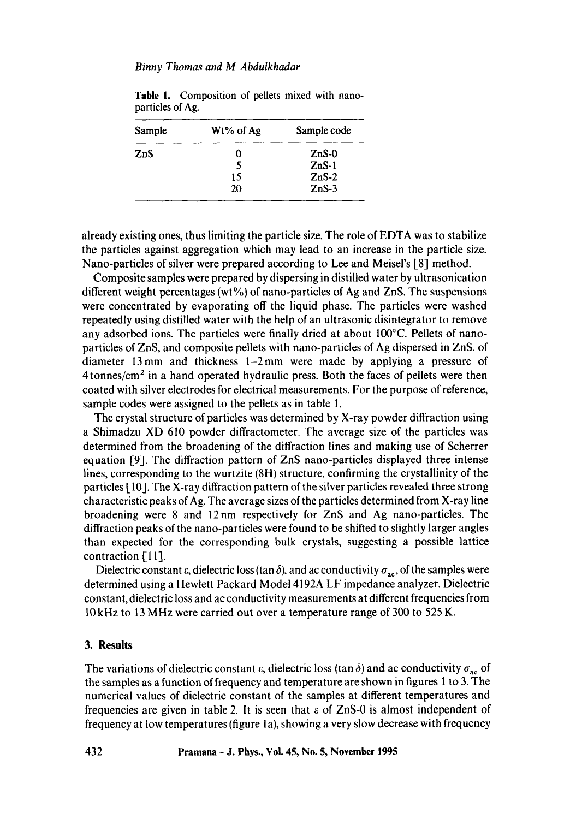#### *Binny Thomas and M Abdulkhadar*

| Sample | Wt% of Ag | Sample code |  |
|--------|-----------|-------------|--|
| ZnS    | O         | $ZnS-0$     |  |
|        | 5         | $ZnS-1$     |  |
|        | 15        | $ZnS-2$     |  |
|        | 20        | $ZnS-3$     |  |

**Table** 1. Composition of pellets mixed with nanoparticles of Ag.

already existing ones, thus limiting the particle size. The role of EDTA was to stabilize the particles against aggregation which may lead to an increase in the particle size. Nano-particles of silver were prepared according to Lee and Meisel's [8] method.

Composite samples were prepared by dispersing in distilled water by uitrasonication different weight percentages (wt%) of nano-particles of Ag and ZnS. The suspensions were concentrated by evaporating off the liquid phase. The particles were washed repeatedly using distilled water with the help of an ultrasonic disintegrator to remove any adsorbed ions. The particles were finally dried at about 100°C. Pellets of nanoparticles of ZnS, and composite pellets with nano-particles of Ag dispersed in ZnS, of diameter 13 mm and thickness  $1-2$  mm were made by applying a pressure of  $4$  tonnes/cm<sup>2</sup> in a hand operated hydraulic press. Both the faces of pellets were then coated with silver electrodes for electrical measurements. For the purpose of reference, sample codes were assigned to the pellets as in table I.

The crystal structure of particles was determined by X-ray powder diffraction using a Shimadzu XD 610 powder diffractometer. The average size of the particles was determined from the broadening of the diffraction lines and making use of Scherrer equation [9]. The diffraction pattern of ZnS nano-particles displayed three intense lines, corresponding to the wurtzite (8H) structure, confirming the crystallinity of the particles [ 10]. The X-ray diffraction pattern of the silver particles revealed three strong characteristic peaks of Ag. The average sizes of the particles determined from X-ray line broadening were 8 and 12nm respectively for ZnS and Ag nano-particles. The diffraction peaks of the nano-particles were found to be shifted to slightly larger angles than expected for the corresponding bulk crystals, suggesting a possible lattice contraction [11].

Dielectric constant  $\varepsilon$ , dielectric loss (tan  $\delta$ ), and ac conductivity  $\sigma_{ac}$ , of the samples were determined using a Hewlett Packard Model 4192A LF impedance analyzer. Dielectric constant, dielectric loss and ac conductivity measurements at different frequencies from 10kHz to 13 MHz were carried out over a temperature range of 300 to 525 K.

### **3. Results**

The variations of dielectric constant  $\varepsilon$ , dielectric loss (tan  $\delta$ ) and ac conductivity  $\sigma_{ac}$  of the samples as a function of frequency and temperature are shown in figures 1 to 3. The numerical values of dielectric constant of the samples at different temperatures and frequencies are given in table 2. It is seen that  $\varepsilon$  of ZnS-0 is almost independent of frequency at low temperatures (figure la), showing a very slow decrease with frequency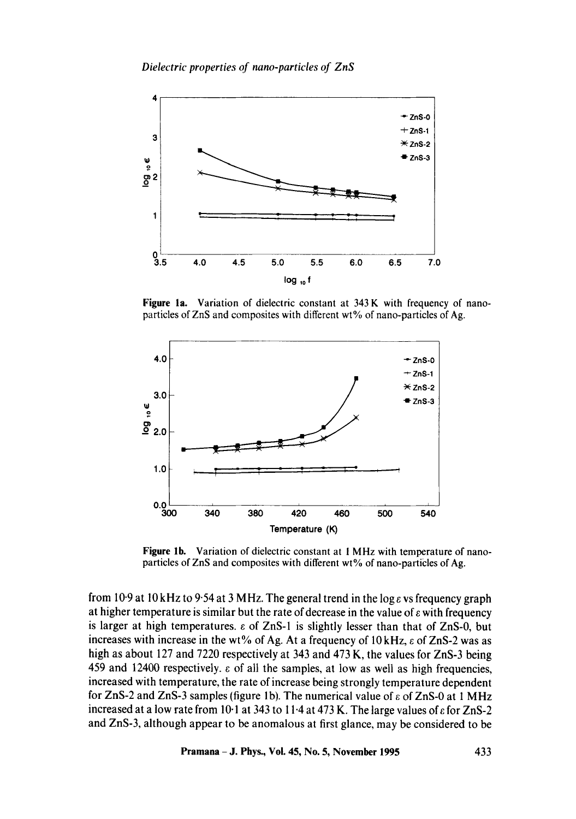*Dielectric properties of nano-particles of ZnS* 



Figure la. Variation of dielectric constant at 343 K with frequency of nanoparticles of ZnS and composites with different wt% of nano-particles of Ag.



Figure lb. Variation of dielectric constant at 1 MHz with temperature of nanoparticles of ZnS and composites with different wt% of nano-particles of Ag.

from 10.9 at 10 kHz to 9.54 at 3 MHz. The general trend in the log  $\epsilon$  vs frequency graph at higher temperature is similar but the rate of decrease in the value of  $\varepsilon$  with frequency is larger at high temperatures.  $\varepsilon$  of ZnS-1 is slightly lesser than that of ZnS-0, but increases with increase in the wt% of Ag. At a frequency of  $10 \text{ kHz}$ ,  $\varepsilon$  of ZnS-2 was as high as about 127 and 7220 respectively at 343 and 473 K, the values for ZnS-3 being 459 and 12400 respectively, e of all the samples, at low as well as high frequencies, increased with temperature, the rate of increase being strongly temperature dependent for ZnS-2 and ZnS-3 samples (figure 1b). The numerical value of  $\varepsilon$  of ZnS-0 at 1 MHz increased at a low rate from 10-1 at 343 to 11-4 at 473 K. The large values of  $\varepsilon$  for ZnS-2 and ZnS-3, although appear to be anomalous at first glance, may be considered to be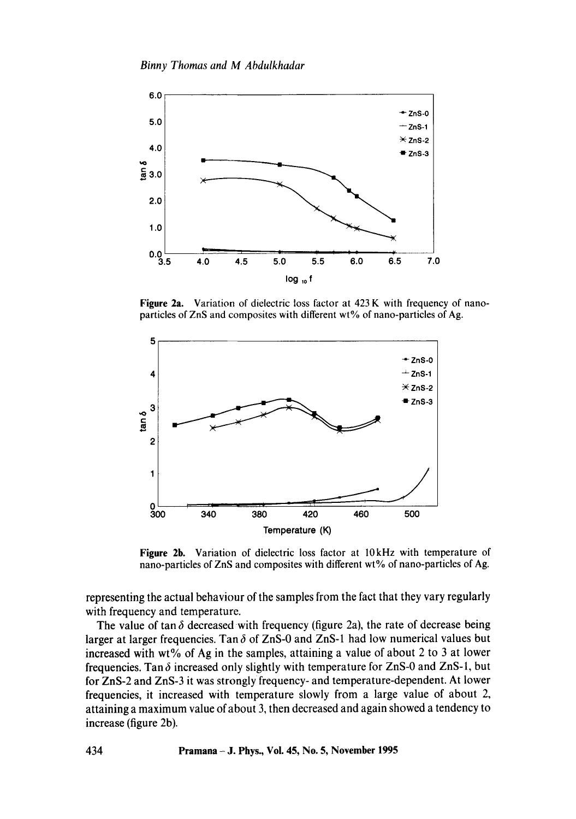*Binny Thomas and M Abdulkhadar* 



**Figure** 2a. Variation of dielectric loss factor at 423 K with frequency of nanoparticles of ZnS and composites with different wt% of nano-particles of Ag.



**Figure** 2b. Variation of dielectric loss factor at 10kHz with temperature of nano-particles of ZnS and composites with different wt% of nano-particles of Ag.

representing the actual behaviour of the samples from the fact that they vary regularly with frequency and temperature.

The value of tan  $\delta$  decreased with frequency (figure 2a), the rate of decrease being larger at larger frequencies. Tan  $\delta$  of ZnS-0 and ZnS-1 had low numerical values but increased with wt% of Ag in the samples, attaining a value of about 2 to 3 at lower frequencies. Tan  $\delta$  increased only slightly with temperature for ZnS-0 and ZnS-1, but for ZnS-2 and ZnS-3 it was strongly frequency- and temperature-dependent. At lower frequencies, it increased with temperature slowly from a large value of about 2, attaining a maximum value of about 3, then decreased and again showed a tendency to increase (figure 2b).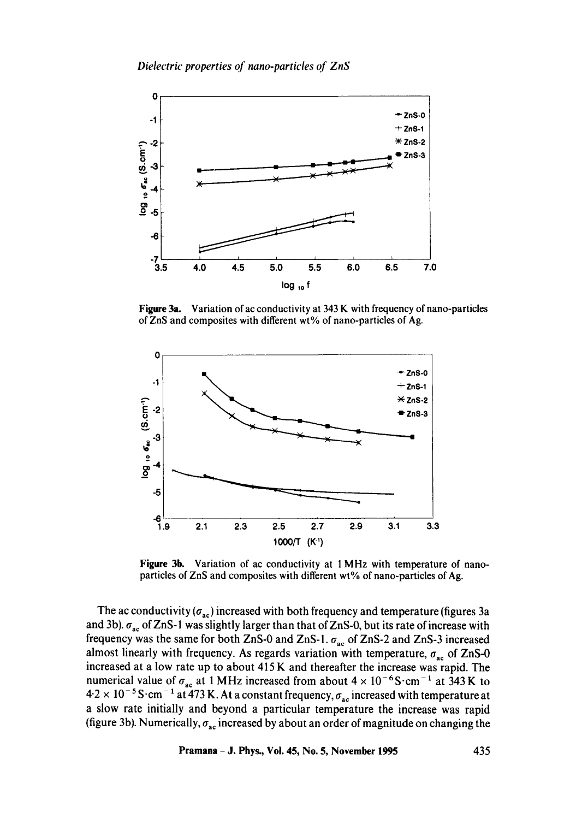

Figure 3a. Variation of ac conductivity at 343 K with frequency of nano-particles of ZnS and composites with different wt% of nano-particles of Ag.



Figure 3h. Variation of ac conductivity at 1 MHz with temperature of nanoparticles of ZnS and composites with different wt% of nano-particles of Ag.

The ac conductivity  $(\sigma_{ac})$  increased with both frequency and temperature (figures 3a and 3b).  $\sigma_{ac}$  of ZnS-1 was slightly larger than that of ZnS-0, but its rate of increase with frequency was the same for both ZnS-0 and ZnS-1.  $\sigma_{ac}$  of ZnS-2 and ZnS-3 increased almost linearly with frequency. As regards variation with temperature,  $\sigma_{ac}$  of ZnS-0 increased at a low rate up to about 415 K and thereafter the increase was rapid. The numerical value of  $\sigma_{ac}$  at 1 MHz increased from about  $4 \times 10^{-6}$ S·cm<sup>-1</sup> at 343 K to  $4.2 \times 10^{-5}$  S $\cdot$ cm<sup>-1</sup> at 473 K. At a constant frequency,  $\sigma_{ac}$  increased with temperature at a slow rate initially and beyond a particular temperature the increase was rapid (figure 3b). Numerically,  $\sigma_{ac}$  increased by about an order of magnitude on changing the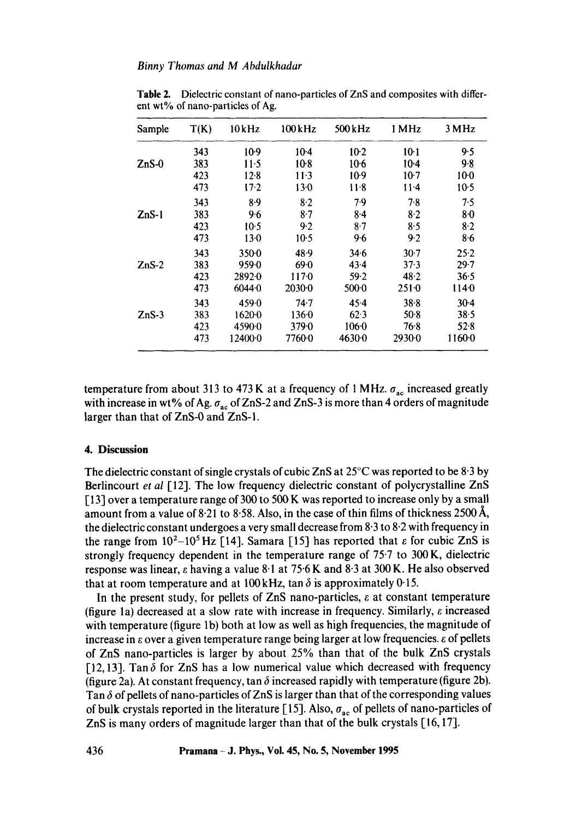| Sample  | T(K) | 10kHz      | $100$ kHz | 500 kHz | 1 MHz    | 3 MHz    |
|---------|------|------------|-----------|---------|----------|----------|
|         | 343  | $10-9$     | $10-4$    | $10-2$  | $10-1$   | 9.5      |
| $ZnS-0$ | 383  | $11-5$     | $10-8$    | $10-6$  | $10-4$   | 9.8      |
|         | 423  | $12-8$     | $11-3$    | $10-9$  | $10-7$   | $10-0$   |
|         | 473  | $17-2$     | 13.0      | $11-8$  | 11.4     | $10-5$   |
|         | 343  | $8-9$      | $8-2$     | 7.9     | 7.8      | 7.5      |
| $ZnS-1$ | 383  | 9.6        | $8-7$     | $8-4$   | 8.2      | 80       |
|         | 423  | $10-5$     | 9.2       | $8-7$   | 8.5      | $8-2$    |
|         | 473  | $13-0$     | $10-5$    | 9.6     | 9.2      | 8.6      |
|         | 343  | $350 - 0$  | 48.9      | 34.6    | $30-7$   | 25.2     |
| $ZnS-2$ | 383  | $959 - 0$  | 69.0      | 43.4    | 37.3     | $29 - 7$ |
|         | 423  | 2892.0     | 1170      | 59.2    | 48.2     | 36.5     |
|         | 473  | 60440      | 2030-0    | 5000    | 2510     | 1140     |
|         | 343  | 459.0      | 74.7      | 45.4    | 38.8     | $30-4$   |
| $ZnS-3$ | 383  | $1620 - 0$ | 1360      | $62-3$  | $50-8$   | 38.5     |
|         | 423  | 4590.0     | $379 - 0$ | $106-0$ | 76.8     | 52.8     |
|         | 473  | 124000     | 7760.0    | 4630-0  | $2930-0$ | 1160.0   |

Table 2. Dielectric constant of nano-particles of ZnS and composites with different wt% of nano-particles of Ag.

temperature from about 313 to 473 K at a frequency of 1 MHz.  $\sigma_{ac}$  increased greatly with increase in wt% of Ag.  $\sigma_{ac}$  of ZnS-2 and ZnS-3 is more than 4 orders of magnitude larger than that of ZnS-0 and ZnS-I.

### **4. Discussion**

The dielectric constant of single crystals of cubic ZnS at  $25^{\circ}$ C was reported to be 8.3 by Berlincourt *et al* [12]. The low frequency dielectric constant of polycrystalline ZnS [13] over a temperature range of 300 to 500 K was reported to increase only by a small amount from a value of 8.21 to 8.58. Also, in the case of thin films of thickness 2500 Å, the dielectric constant undergoes a very small decrease from 8.3 to 8.2 with frequency in the range from  $10^2-10^5$  Hz [14]. Samara [15] has reported that  $\varepsilon$  for cubic ZnS is strongly frequency dependent in the temperature range of 75-7 to 300 K, dielectric response was linear,  $\epsilon$  having a value 8.1 at 75.6 K and 8.3 at 300 K. He also observed that at room temperature and at 100 kHz, tan  $\delta$  is approximately 0-15.

In the present study, for pellets of ZnS nano-particles,  $\varepsilon$  at constant temperature (figure 1a) decreased at a slow rate with increase in frequency. Similarly,  $\varepsilon$  increased with temperature (figure 1b) both at low as well as high frequencies, the magnitude of increase in  $\varepsilon$  over a given temperature range being larger at low frequencies.  $\varepsilon$  of pellets of ZnS nano-particles is larger by about 25% than that of the bulk ZnS crystals [12,13]. Tan  $\delta$  for ZnS has a low numerical value which decreased with frequency (figure 2a). At constant frequency, tan  $\delta$  increased rapidly with temperature (figure 2b). Tan  $\delta$  of pellets of nano-particles of ZnS is larger than that of the corresponding values of bulk crystals reported in the literature [15]. Also,  $\sigma_{ac}$  of pellets of nano-particles of ZnS is many orders of magnitude larger than that of the bulk crystals [16, 17].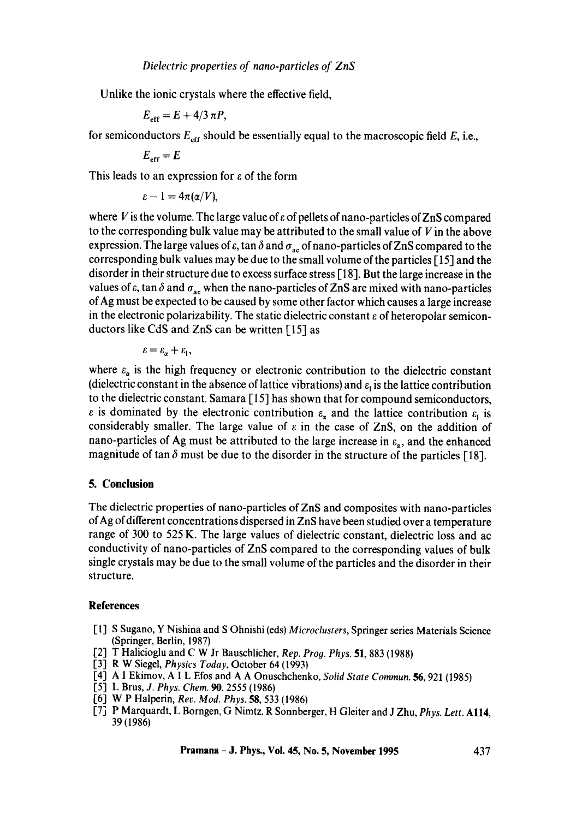Unlike the ionic crystals where the effective field,

$$
E_{\rm eff} = E + 4/3 \pi P,
$$

for semiconductors  $E_{\text{eff}}$  should be essentially equal to the macroscopic field E, i.e.,

$$
E_{\rm eff}=E
$$

This leads to an expression for  $\varepsilon$  of the form

$$
\varepsilon - 1 = 4\pi(\alpha/V),
$$

where V is the volume. The large value of  $\epsilon$  of pellets of nano-particles of ZnS compared to the corresponding bulk value may be attributed to the small value of  $V$  in the above expression. The large values of  $\varepsilon$ , tan  $\delta$  and  $\sigma_{ac}$  of nano-particles of ZnS compared to the corresponding bulk values may be due to the small volume of the particles [-15] and the disorder in their structure due to excess surface stress [18]. But the large increase in the values of  $\varepsilon$ , tan  $\delta$  and  $\sigma_{ac}$  when the nano-particles of ZnS are mixed with nano-particles of Ag must be expected to be caused by some other factor which causes a large increase in the electronic polarizability. The static dielectric constant  $\varepsilon$  of heteropolar semiconductors like CdS and ZnS can be written [15] as

$$
\varepsilon = \varepsilon_{\alpha} + \varepsilon_{1},
$$

where  $\varepsilon_{\alpha}$  is the high frequency or electronic contribution to the dielectric constant (dielectric constant in the absence of lattice vibrations) and  $\varepsilon_1$  is the lattice contribution to the dielectric constant. Samara [15] has shown that for compound semiconductors,  $\varepsilon$  is dominated by the electronic contribution  $\varepsilon_a$  and the lattice contribution  $\varepsilon_1$  is considerably smaller. The large value of  $\varepsilon$  in the case of ZnS, on the addition of nano-particles of Ag must be attributed to the large increase in  $\varepsilon_n$ , and the enhanced magnitude of tan  $\delta$  must be due to the disorder in the structure of the particles [18].

### **5. Conclusion**

The dielectric properties of nano-particles of ZnS and composites with nano-particles of Ag of different concentrations dispersed in ZnS have been studied over a temperature range of 300 to 525 K. The large values of dielectric constant, dielectric loss and ac conductivity of nano-particles of ZnS compared to the corresponding values of bulk single crystals may be due to the small volume of the particles and the disorder in their structure.

#### **References**

- [1] S Sugano, Y Nishina and S Ohnishi (eds) *Microclusters,* Springer series Materials Science (Springer, Berlin, 1987)
- [2] T Halicioglu and C W Jr Bauschlicher, *Rep. Prog. Phys.* 51, 883 (1988)
- [3] R W Siegel, *Physics Today,* October 64 (1993)
- [4] A I Ekimov, A I L Eros and A A Onuschchenko, *Solid State Commun. 56,* 921 (1985)
- [5] L Brus, *J. Phys. Chem.* 90, 2555 (1986)
- [6] W P Halperin, *Rev. Mod. Phys.* **58**, 533 (1986)
- [7] P Marquardt, L Borngen, G Nimtz, R Sonnberger, H Gleiter and J Zhu, *Phys. Lett.* All4, 39 (1986)